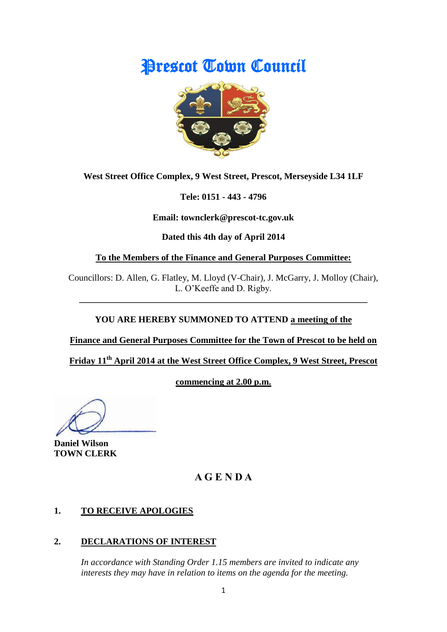# **Prescot Town Council**



**West Street Office Complex, 9 West Street, Prescot, Merseyside L34 1LF**

**Tele: 0151 - 443 - 4796**

**Email: townclerk@prescot-tc.gov.uk**

**Dated this 4th day of April 2014**

**To the Members of the Finance and General Purposes Committee:**

Councillors: D. Allen, G. Flatley, M. Lloyd (V-Chair), J. McGarry, J. Molloy (Chair), L. O'Keeffe and D. Rigby.

**\_\_\_\_\_\_\_\_\_\_\_\_\_\_\_\_\_\_\_\_\_\_\_\_\_\_\_\_\_\_\_\_\_\_\_\_\_\_\_\_\_\_\_\_\_\_\_\_\_\_\_\_\_\_\_\_\_\_\_\_\_\_\_\_**

# **YOU ARE HEREBY SUMMONED TO ATTEND a meeting of the**

**Finance and General Purposes Committee for the Town of Prescot to be held on** 

**Friday 11 th April 2014 at the West Street Office Complex, 9 West Street, Prescot** 

**commencing at 2.00 p.m.**

**Daniel Wilson TOWN CLERK**

# **A G E N D A**

# **1. TO RECEIVE APOLOGIES**

# **2. DECLARATIONS OF INTEREST**

*In accordance with Standing Order 1.15 members are invited to indicate any interests they may have in relation to items on the agenda for the meeting.*